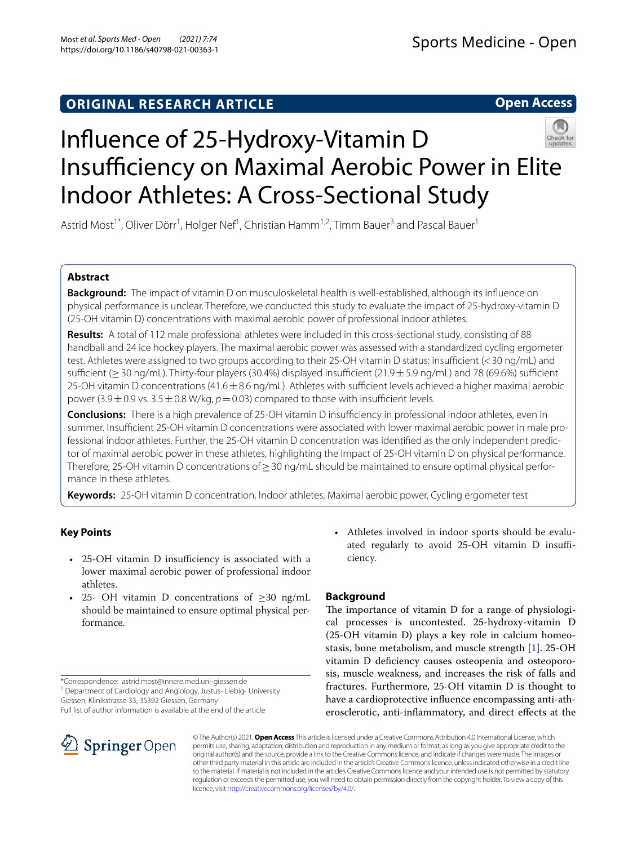# **ORIGINAL RESEARCH ARTICLE**

# **Open Access**



# Infuence of 25-Hydroxy-Vitamin D Insufficiency on Maximal Aerobic Power in Elite Indoor Athletes: A Cross-Sectional Study

Astrid Most<sup>1\*</sup>, Oliver Dörr<sup>1</sup>, Holger Nef<sup>1</sup>, Christian Hamm<sup>1,2</sup>, Timm Bauer<sup>3</sup> and Pascal Bauer<sup>1</sup>

# **Abstract**

**Background:** The impact of vitamin D on musculoskeletal health is well-established, although its infuence on physical performance is unclear. Therefore, we conducted this study to evaluate the impact of 25-hydroxy-vitamin D (25-OH vitamin D) concentrations with maximal aerobic power of professional indoor athletes.

**Results:** A total of 112 male professional athletes were included in this cross-sectional study, consisting of 88 handball and 24 ice hockey players. The maximal aerobic power was assessed with a standardized cycling ergometer test. Athletes were assigned to two groups according to their 25-OH vitamin D status: insufficient (<30 ng/mL) and sufficient ( $>$ 30 ng/mL). Thirty-four players (30.4%) displayed insufficient ( $21.9 \pm 5.9$  ng/mL) and 78 (69.6%) sufficient 25-OH vitamin D concentrations (41.6 $\pm$ 8.6 ng/mL). Athletes with sufficient levels achieved a higher maximal aerobic power (3.9  $\pm$  0.9 vs. 3.5  $\pm$  0.8 W/kg,  $p=0.03$ ) compared to those with insufficient levels.

**Conclusions:** There is a high prevalence of 25-OH vitamin D insufficiency in professional indoor athletes, even in summer. Insufficient 25-OH vitamin D concentrations were associated with lower maximal aerobic power in male professional indoor athletes. Further, the 25-OH vitamin D concentration was identifed as the only independent predictor of maximal aerobic power in these athletes, highlighting the impact of 25-OH vitamin D on physical performance. Therefore, 25-OH vitamin D concentrations of ≥ 30 ng/mL should be maintained to ensure optimal physical performance in these athletes.

**Keywords:** 25-OH vitamin D concentration, Indoor athletes, Maximal aerobic power, Cycling ergometer test

# **Key Points**

- 25-OH vitamin D insufficiency is associated with a lower maximal aerobic power of professional indoor athletes.
- 25- OH vitamin D concentrations of ≥30 ng/mL should be maintained to ensure optimal physical performance.

<sup>1</sup> Department of Cardiology and Angiology, Justus-Liebig- University Giessen, Klinikstrasse 33, 35392 Giessen, Germany

Full list of author information is available at the end of the article



• Athletes involved in indoor sports should be evaluated regularly to avoid 25-OH vitamin D insufficiency.

# **Background**

The importance of vitamin  $D$  for a range of physiological processes is uncontested. 25-hydroxy-vitamin D (25-OH vitamin D) plays a key role in calcium homeostasis, bone metabolism, and muscle strength [[1\]](#page-8-0). 25-OH vitamin D defciency causes osteopenia and osteoporosis, muscle weakness, and increases the risk of falls and fractures. Furthermore, 25-OH vitamin D is thought to have a cardioprotective infuence encompassing anti-atherosclerotic, anti-infammatory, and direct efects at the

© The Author(s) 2021. **Open Access** This article is licensed under a Creative Commons Attribution 4.0 International License, which permits use, sharing, adaptation, distribution and reproduction in any medium or format, as long as you give appropriate credit to the original author(s) and the source, provide a link to the Creative Commons licence, and indicate if changes were made. The images or other third party material in this article are included in the article's Creative Commons licence, unless indicated otherwise in a credit line to the material. If material is not included in the article's Creative Commons licence and your intended use is not permitted by statutory regulation or exceeds the permitted use, you will need to obtain permission directly from the copyright holder. To view a copy of this licence, visit [http://creativecommons.org/licenses/by/4.0/.](http://creativecommons.org/licenses/by/4.0/)

<sup>\*</sup>Correspondence: astrid.most@innere.med.uni-giessen.de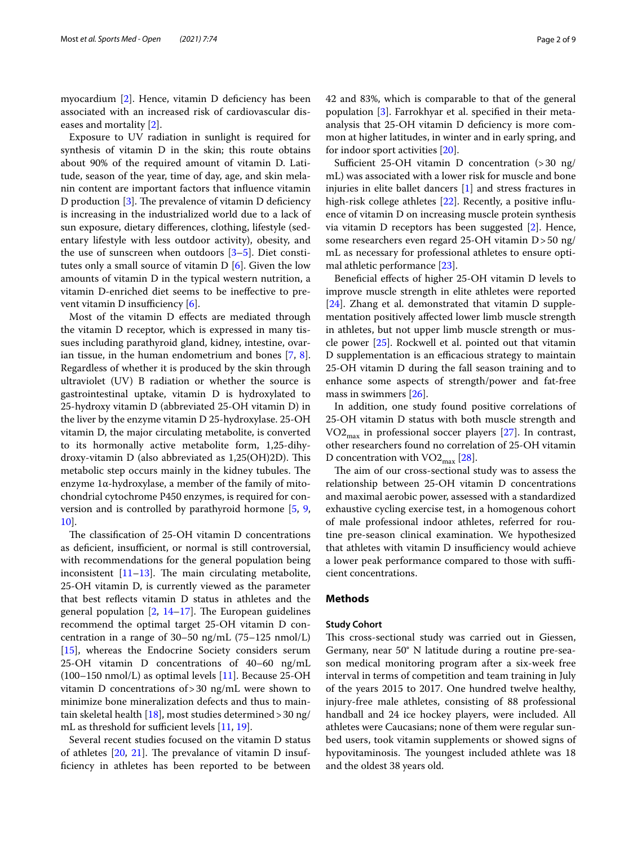myocardium [[2\]](#page-8-1). Hence, vitamin D deficiency has been associated with an increased risk of cardiovascular diseases and mortality [\[2](#page-8-1)].

Exposure to UV radiation in sunlight is required for synthesis of vitamin D in the skin; this route obtains about 90% of the required amount of vitamin D. Latitude, season of the year, time of day, age, and skin melanin content are important factors that infuence vitamin D production  $[3]$  $[3]$ . The prevalence of vitamin D deficiency is increasing in the industrialized world due to a lack of sun exposure, dietary diferences, clothing, lifestyle (sedentary lifestyle with less outdoor activity), obesity, and the use of sunscreen when outdoors  $[3-5]$  $[3-5]$ . Diet constitutes only a small source of vitamin  $D$  [[6\]](#page-8-4). Given the low amounts of vitamin D in the typical western nutrition, a vitamin D-enriched diet seems to be inefective to prevent vitamin D insufficiency  $[6]$  $[6]$ .

Most of the vitamin D efects are mediated through the vitamin D receptor, which is expressed in many tissues including parathyroid gland, kidney, intestine, ovarian tissue, in the human endometrium and bones [[7,](#page-8-5) [8](#page-8-6)]. Regardless of whether it is produced by the skin through ultraviolet (UV) B radiation or whether the source is gastrointestinal uptake, vitamin D is hydroxylated to 25-hydroxy vitamin D (abbreviated 25-OH vitamin D) in the liver by the enzyme vitamin D 25-hydroxylase. 25-OH vitamin D, the major circulating metabolite, is converted to its hormonally active metabolite form, 1,25-dihydroxy-vitamin D (also abbreviated as  $1,25(OH)2D$ ). This metabolic step occurs mainly in the kidney tubules. The enzyme  $1\alpha$ -hydroxylase, a member of the family of mitochondrial cytochrome P450 enzymes, is required for conversion and is controlled by parathyroid hormone [[5,](#page-8-3) [9](#page-8-7), [10\]](#page-8-8).

The classification of 25-OH vitamin D concentrations as deficient, insufficient, or normal is still controversial, with recommendations for the general population being inconsistent  $[11-13]$  $[11-13]$ . The main circulating metabolite, 25-OH vitamin D, is currently viewed as the parameter that best refects vitamin D status in athletes and the general population  $[2, 14-17]$  $[2, 14-17]$  $[2, 14-17]$  $[2, 14-17]$  $[2, 14-17]$ . The European guidelines recommend the optimal target 25-OH vitamin D concentration in a range of  $30-50$  ng/mL (75-125 nmol/L) [[15\]](#page-8-13), whereas the Endocrine Society considers serum 25-OH vitamin D concentrations of 40–60 ng/mL (100–150 nmol/L) as optimal levels [\[11\]](#page-8-9). Because 25-OH vitamin D concentrations of>30 ng/mL were shown to minimize bone mineralization defects and thus to maintain skeletal health  $[18]$  $[18]$ , most studies determined > 30 ng/ mL as threshold for sufficient levels  $[11, 19]$  $[11, 19]$  $[11, 19]$  $[11, 19]$ .

Several recent studies focused on the vitamin D status of athletes  $[20, 21]$  $[20, 21]$  $[20, 21]$ . The prevalance of vitamin D insuffciency in athletes has been reported to be between 42 and 83%, which is comparable to that of the general population [[3\]](#page-8-2). Farrokhyar et al. specifed in their metaanalysis that 25-OH vitamin D defciency is more common at higher latitudes, in winter and in early spring, and for indoor sport activities [\[20](#page-8-16)].

Sufficient 25-OH vitamin D concentration  $(>30 \text{ ng}/$ mL) was associated with a lower risk for muscle and bone injuries in elite ballet dancers [[1\]](#page-8-0) and stress fractures in high-risk college athletes [[22](#page-8-18)]. Recently, a positive influence of vitamin D on increasing muscle protein synthesis via vitamin D receptors has been suggested [\[2\]](#page-8-1). Hence, some researchers even regard 25-OH vitamin D>50 ng/ mL as necessary for professional athletes to ensure optimal athletic performance [[23\]](#page-8-19).

Benefcial efects of higher 25-OH vitamin D levels to improve muscle strength in elite athletes were reported [[24\]](#page-8-20). Zhang et al. demonstrated that vitamin D supplementation positively afected lower limb muscle strength in athletes, but not upper limb muscle strength or muscle power [[25\]](#page-8-21). Rockwell et al. pointed out that vitamin D supplementation is an efficacious strategy to maintain 25-OH vitamin D during the fall season training and to enhance some aspects of strength/power and fat-free mass in swimmers [\[26](#page-8-22)].

In addition, one study found positive correlations of 25-OH vitamin D status with both muscle strength and  $VO2_{\text{max}}$  in professional soccer players [[27\]](#page-8-23). In contrast, other researchers found no correlation of 25-OH vitamin D concentration with  $VO2_{\text{max}}$  [\[28](#page-8-24)].

The aim of our cross-sectional study was to assess the relationship between 25-OH vitamin D concentrations and maximal aerobic power, assessed with a standardized exhaustive cycling exercise test, in a homogenous cohort of male professional indoor athletes, referred for routine pre-season clinical examination. We hypothesized that athletes with vitamin D insufficiency would achieve a lower peak performance compared to those with sufficient concentrations.

# **Methods**

# **Study Cohort**

This cross-sectional study was carried out in Giessen, Germany, near 50° N latitude during a routine pre-season medical monitoring program after a six-week free interval in terms of competition and team training in July of the years 2015 to 2017. One hundred twelve healthy, injury-free male athletes, consisting of 88 professional handball and 24 ice hockey players, were included. All athletes were Caucasians; none of them were regular sunbed users, took vitamin supplements or showed signs of hypovitaminosis. The youngest included athlete was 18 and the oldest 38 years old.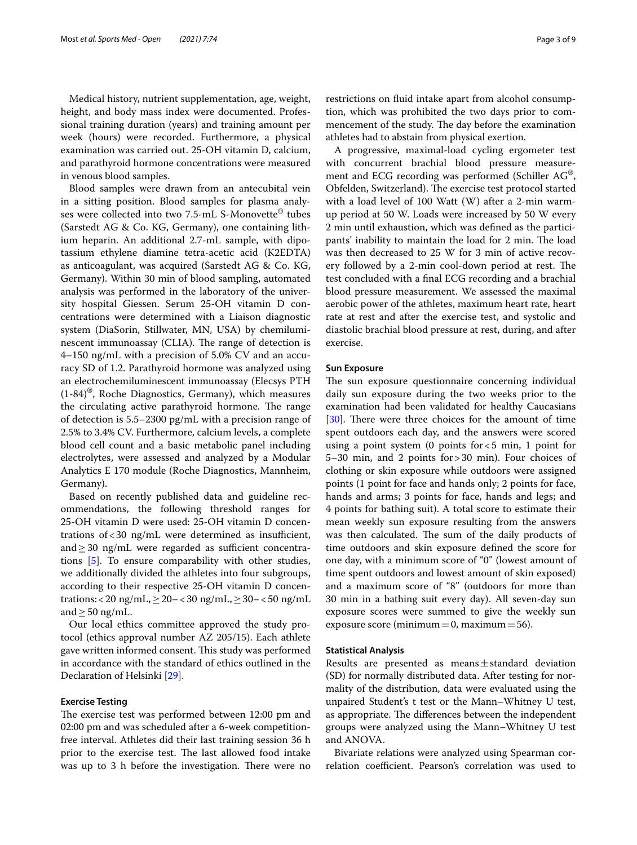Medical history, nutrient supplementation, age, weight, height, and body mass index were documented. Professional training duration (years) and training amount per week (hours) were recorded. Furthermore, a physical examination was carried out. 25-OH vitamin D, calcium, and parathyroid hormone concentrations were measured in venous blood samples.

Blood samples were drawn from an antecubital vein in a sitting position. Blood samples for plasma analyses were collected into two 7.5-mL S-Monovette® tubes (Sarstedt AG & Co. KG, Germany), one containing lithium heparin. An additional 2.7-mL sample, with dipotassium ethylene diamine tetra-acetic acid (K2EDTA) as anticoagulant, was acquired (Sarstedt AG & Co. KG, Germany). Within 30 min of blood sampling, automated analysis was performed in the laboratory of the university hospital Giessen. Serum 25-OH vitamin D concentrations were determined with a Liaison diagnostic system (DiaSorin, Stillwater, MN, USA) by chemiluminescent immunoassay (CLIA). The range of detection is 4–150 ng/mL with a precision of 5.0% CV and an accuracy SD of 1.2. Parathyroid hormone was analyzed using an electrochemiluminescent immunoassay (Elecsys PTH  $(1-84)$ <sup>®</sup>, Roche Diagnostics, Germany), which measures the circulating active parathyroid hormone. The range of detection is 5.5–2300 pg/mL with a precision range of 2.5% to 3.4% CV. Furthermore, calcium levels, a complete blood cell count and a basic metabolic panel including electrolytes, were assessed and analyzed by a Modular Analytics E 170 module (Roche Diagnostics, Mannheim, Germany).

Based on recently published data and guideline recommendations, the following threshold ranges for 25-OH vitamin D were used: 25-OH vitamin D concentrations of  $<$  30 ng/mL were determined as insufficient, and  $\geq$  30 ng/mL were regarded as sufficient concentrations [\[5](#page-8-3)]. To ensure comparability with other studies, we additionally divided the athletes into four subgroups, according to their respective 25-OH vitamin D concentrations: <20 ng/mL,  $\geq$ 20–<30 ng/mL,  $\geq$ 30–<50 ng/mL and  $\geq$  50 ng/mL.

Our local ethics committee approved the study protocol (ethics approval number AZ 205/15). Each athlete gave written informed consent. This study was performed in accordance with the standard of ethics outlined in the Declaration of Helsinki [[29\]](#page-8-25).

## **Exercise Testing**

The exercise test was performed between 12:00 pm and 02:00 pm and was scheduled after a 6-week competitionfree interval. Athletes did their last training session 36 h prior to the exercise test. The last allowed food intake was up to  $3$  h before the investigation. There were no restrictions on fuid intake apart from alcohol consumption, which was prohibited the two days prior to commencement of the study. The day before the examination athletes had to abstain from physical exertion.

A progressive, maximal-load cycling ergometer test with concurrent brachial blood pressure measurement and ECG recording was performed (Schiller AG®, Obfelden, Switzerland). The exercise test protocol started with a load level of 100 Watt (W) after a 2-min warmup period at 50 W. Loads were increased by 50 W every 2 min until exhaustion, which was defned as the participants' inability to maintain the load for 2 min. The load was then decreased to 25 W for 3 min of active recovery followed by a 2-min cool-down period at rest. The test concluded with a fnal ECG recording and a brachial blood pressure measurement. We assessed the maximal aerobic power of the athletes, maximum heart rate, heart rate at rest and after the exercise test, and systolic and diastolic brachial blood pressure at rest, during, and after exercise.

## **Sun Exposure**

The sun exposure questionnaire concerning individual daily sun exposure during the two weeks prior to the examination had been validated for healthy Caucasians [[30\]](#page-8-26). There were three choices for the amount of time spent outdoors each day, and the answers were scored using a point system (0 points for  $<$  5 min, 1 point for 5–30 min, and 2 points for>30 min). Four choices of clothing or skin exposure while outdoors were assigned points (1 point for face and hands only; 2 points for face, hands and arms; 3 points for face, hands and legs; and 4 points for bathing suit). A total score to estimate their mean weekly sun exposure resulting from the answers was then calculated. The sum of the daily products of time outdoors and skin exposure defned the score for one day, with a minimum score of "0" (lowest amount of time spent outdoors and lowest amount of skin exposed) and a maximum score of "8" (outdoors for more than 30 min in a bathing suit every day). All seven-day sun exposure scores were summed to give the weekly sun exposure score (minimum =  $0$ , maximum =  $56$ ).

# **Statistical Analysis**

Results are presented as means±standard deviation (SD) for normally distributed data. After testing for normality of the distribution, data were evaluated using the unpaired Student's t test or the Mann–Whitney U test, as appropriate. The differences between the independent groups were analyzed using the Mann–Whitney U test and ANOVA.

Bivariate relations were analyzed using Spearman correlation coefficient. Pearson's correlation was used to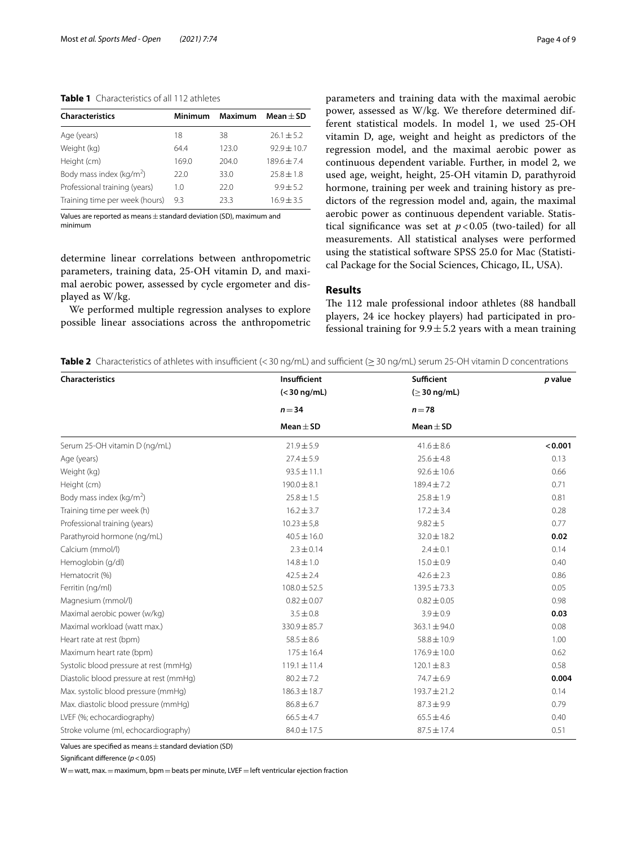# <span id="page-3-0"></span>**Table 1** Characteristics of all 112 athletes

| <b>Characteristics</b>         | <b>Minimum</b> | <b>Maximum</b> | Mean $\pm$ SD   |
|--------------------------------|----------------|----------------|-----------------|
| Age (years)                    | 18             | 38             | $26.1 \pm 5.2$  |
| Weight (kg)                    | 64.4           | 123.0          | $92.9 \pm 10.7$ |
| Height (cm)                    | 169.0          | 204.0          | $189.6 + 7.4$   |
| Body mass index ( $kg/m2$ )    | 22.0           | 33.0           | $75.8 + 1.8$    |
| Professional training (years)  | 1.0            | 22.0           | $9.9 + 5.2$     |
| Training time per week (hours) | 9.3            | 23.3           | $16.9 \pm 3.5$  |

Values are reported as means  $\pm$  standard deviation (SD), maximum and minimum

determine linear correlations between anthropometric parameters, training data, 25-OH vitamin D, and maximal aerobic power, assessed by cycle ergometer and displayed as W/kg.

We performed multiple regression analyses to explore possible linear associations across the anthropometric parameters and training data with the maximal aerobic power, assessed as W/kg. We therefore determined different statistical models. In model 1, we used 25-OH vitamin D, age, weight and height as predictors of the regression model, and the maximal aerobic power as continuous dependent variable. Further, in model 2, we used age, weight, height, 25-OH vitamin D, parathyroid hormone, training per week and training history as predictors of the regression model and, again, the maximal aerobic power as continuous dependent variable. Statistical significance was set at  $p < 0.05$  (two-tailed) for all measurements. All statistical analyses were performed using the statistical software SPSS 25.0 for Mac (Statistical Package for the Social Sciences, Chicago, IL, USA).

# **Results**

The 112 male professional indoor athletes (88 handball players, 24 ice hockey players) had participated in professional training for  $9.9 \pm 5.2$  years with a mean training

<span id="page-3-1"></span>**Table 2** Characteristics of athletes with insufficient (<30 ng/mL) and sufficient ( $\geq$ 30 ng/mL) serum 25-OH vitamin D concentrations

| <b>Characteristics</b>                  | Insufficient     | <b>Sufficient</b>           | p value |
|-----------------------------------------|------------------|-----------------------------|---------|
|                                         | $(<$ 30 ng/mL)   | $( \geq 30 \text{ ng/mL} )$ |         |
|                                         | $n = 34$         | $n = 78$                    |         |
|                                         | Mean $\pm$ SD    | Mean $\pm$ SD               |         |
| Serum 25-OH vitamin D (ng/mL)           | $21.9 \pm 5.9$   | $41.6 \pm 8.6$              | < 0.001 |
| Age (years)                             | $27.4 \pm 5.9$   | $25.6 \pm 4.8$              | 0.13    |
| Weight (kg)                             | $93.5 \pm 11.1$  | $92.6 \pm 10.6$             | 0.66    |
| Height (cm)                             | $190.0 \pm 8.1$  | $189.4 \pm 7.2$             | 0.71    |
| Body mass index ( $kg/m2$ )             | $25.8 \pm 1.5$   | $25.8 \pm 1.9$              | 0.81    |
| Training time per week (h)              | $16.2 \pm 3.7$   | $17.2 \pm 3.4$              | 0.28    |
| Professional training (years)           | $10.23 \pm 5.8$  | $9.82 \pm 5$                | 0.77    |
| Parathyroid hormone (ng/mL)             | $40.5 \pm 16.0$  | $32.0 \pm 18.2$             | 0.02    |
| Calcium (mmol/l)                        | $2.3 \pm 0.14$   | $2.4 \pm 0.1$               | 0.14    |
| Hemoglobin (g/dl)                       | $14.8 \pm 1.0$   | $15.0 \pm 0.9$              | 0.40    |
| Hematocrit (%)                          | $42.5 \pm 2.4$   | $42.6 \pm 2.3$              | 0.86    |
| Ferritin (ng/ml)                        | $108.0 \pm 52.5$ | $139.5 \pm 73.3$            | 0.05    |
| Magnesium (mmol/l)                      | $0.82 \pm 0.07$  | $0.82 \pm 0.05$             | 0.98    |
| Maximal aerobic power (w/kg)            | $3.5 \pm 0.8$    | $3.9 \pm 0.9$               | 0.03    |
| Maximal workload (watt max.)            | 330.9 ± 85.7     | $363.1 \pm 94.0$            | 0.08    |
| Heart rate at rest (bpm)                | $58.5 \pm 8.6$   | $58.8 \pm 10.9$             | 1.00    |
| Maximum heart rate (bpm)                | $175 \pm 16.4$   | $176.9 \pm 10.0$            | 0.62    |
| Systolic blood pressure at rest (mmHq)  | $119.1 \pm 11.4$ | $120.1 \pm 8.3$             | 0.58    |
| Diastolic blood pressure at rest (mmHq) | $80.2 \pm 7.2$   | 74.7 ± 6.9                  | 0.004   |
| Max. systolic blood pressure (mmHq)     | $186.3 \pm 18.7$ | 193.7±21.2                  | 0.14    |
| Max. diastolic blood pressure (mmHq)    | $86.8 \pm 6.7$   | $87.3 \pm 9.9$              | 0.79    |
| LVEF (%; echocardiography)              | $66.5 \pm 4.7$   | $65.5 \pm 4.6$              | 0.40    |
| Stroke volume (ml, echocardiography)    | $84.0 \pm 17.5$  | $87.5 \pm 17.4$             | 0.51    |

Values are specified as means  $\pm$  standard deviation (SD)

Significant difference ( $p$  < 0.05)

 $W=$  watt, max.  $=$  maximum, bpm  $=$  beats per minute, LVEF  $=$  left ventricular ejection fraction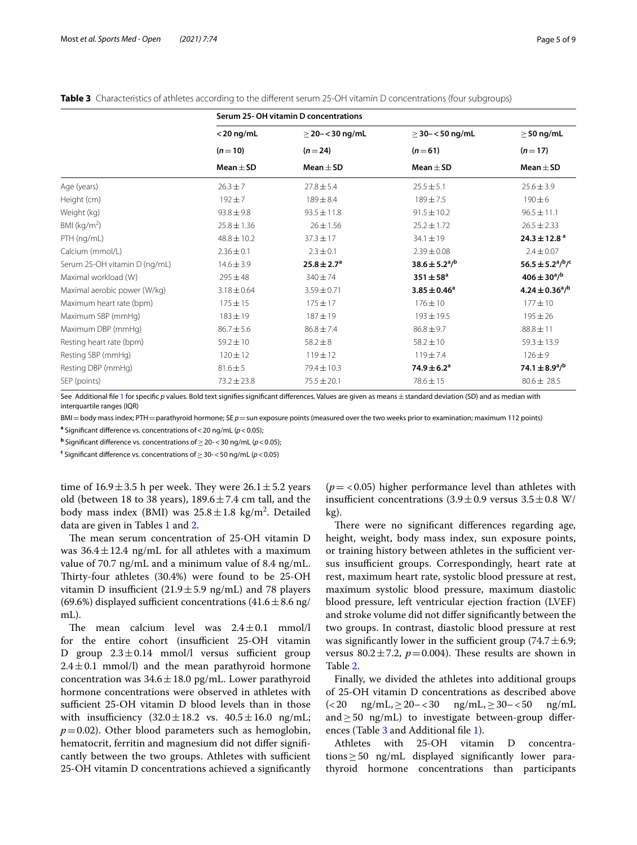<span id="page-4-0"></span>

|                               | Serum 25- OH vitamin D concentrations     |                                                  |                                                  |                                              |  |  |
|-------------------------------|-------------------------------------------|--------------------------------------------------|--------------------------------------------------|----------------------------------------------|--|--|
|                               | $<$ 20 ng/mL<br>$(n=10)$<br>Mean $\pm$ SD | $\geq$ 20-<30 ng/mL<br>$(n=24)$<br>Mean $\pm$ SD | $\geq$ 30-<50 ng/mL<br>$(n=61)$<br>Mean $\pm$ SD | $\geq$ 50 ng/mL<br>$(n=17)$<br>Mean $\pm$ SD |  |  |
|                               |                                           |                                                  |                                                  |                                              |  |  |
|                               |                                           |                                                  |                                                  |                                              |  |  |
| Age (years)                   | $26.3 \pm 7$                              | $27.8 \pm 5.4$                                   | $25.5 \pm 5.1$                                   | $25.6 \pm 3.9$                               |  |  |
| Height (cm)                   | $192 + 7$                                 | $189 + 8.4$                                      | $189 + 7.5$                                      | $190 + 6$                                    |  |  |
| Weight (kg)                   | $93.8 \pm 9.8$                            | $93.5 \pm 11.8$                                  | $91.5 \pm 10.2$                                  | $96.5 \pm 11.1$                              |  |  |
| BMI ( $kg/m2$ )               | $25.8 \pm 1.36$                           | $26 \pm 1.56$                                    | $25.2 \pm 1.72$                                  | $26.5 \pm 2.33$                              |  |  |
| PTH (ng/mL)                   | $48.8 \pm 10.2$                           | $37.3 \pm 17$                                    | $34.1 \pm 19$                                    | $24.3 \pm 12.8$ <sup>a</sup>                 |  |  |
| Calcium (mmol/L)              | $2.36 \pm 0.1$                            | $2.3 \pm 0.1$                                    | $2.39 \pm 0.08$                                  | $2.4 \pm 0.07$                               |  |  |
| Serum 25-OH vitamin D (ng/mL) | $14.6 \pm 3.9$                            | $25.8 \pm 2.7^a$                                 | $38.6 \pm 5.2^{\text{a}}$ <sup>b</sup>           | $56.5 \pm 5.2^{\rm a/b/c}$                   |  |  |
| Maximal workload (W)          | $295 + 48$                                | 340±74                                           | $351 \pm 58^a$                                   | $406 \pm 30^{\rm a}/{\rm b}$                 |  |  |
| Maximal aerobic power (W/kg)  | $3.18 \pm 0.64$                           | $3.59 \pm 0.71$                                  | $3.85 \pm 0.46^a$                                | $4.24 \pm 0.36^{\rm a}/^{\rm b}$             |  |  |
| Maximum heart rate (bpm)      | $175 \pm 15$                              | $175 \pm 17$                                     | $176 \pm 10$                                     | $177 \pm 10$                                 |  |  |
| Maximum SBP (mmHg)            | $183 \pm 19$                              | $187 + 19$                                       | $193 \pm 19.5$                                   | $195 \pm 26$                                 |  |  |
| Maximum DBP (mmHg)            | $86.7 \pm 5.6$                            | $86.8 \pm 7.4$                                   | $86.8 \pm 9.7$                                   | $88.8 \pm 11$                                |  |  |
| Resting heart rate (bpm)      | $59.2 \pm 10$                             | $58.2 \pm 8$                                     | $58.2 \pm 10$                                    | $59.3 \pm 13.9$                              |  |  |
| Resting SBP (mmHg)            | $120 \pm 12$                              | $119 \pm 12$                                     | $119 + 7.4$                                      | $126 + 9$                                    |  |  |
| Resting DBP (mmHg)            | $81.6 \pm 5$                              | 79.4 ± 10.3                                      | 74.9 $\pm$ 6.2 <sup>a</sup>                      | 74.1 $\pm$ 8.9 <sup>a</sup> / <sup>b</sup>   |  |  |
| SEP (points)                  | $73.2 \pm 23.8$                           | $75.5 \pm 20.1$                                  | $78.6 \pm 15$                                    | $80.6 \pm 28.5$                              |  |  |

See Additional file [1](#page-7-0) for specific *p* values. Bold text signifies significant differences. Values are given as means ± standard deviation (SD) and as median with interquartile ranges (IOR)

BMI=body mass index; PTH=parathyroid hormone; SE  $p$ =sun exposure points (measured over the two weeks prior to examination; maximum 112 points)

**a** Signifcant diference vs. concentrations of<20 ng/mL (*p*<0.05);

**<sup>b</sup>** Signifcant diference vs. concentrations of≥20-<30 ng/mL (*p*<0.05);

**c** Signifcant diference vs. concentrations of≥30-<50 ng/mL (*p*<0.05)

time of  $16.9 \pm 3.5$  h per week. They were  $26.1 \pm 5.2$  years old (between 18 to 38 years),  $189.6 \pm 7.4$  cm tall, and the body mass index (BMI) was  $25.8 \pm 1.8$  kg/m<sup>2</sup>. Detailed data are given in Tables [1](#page-3-0) and [2.](#page-3-1)

The mean serum concentration of 25-OH vitamin D was  $36.4 \pm 12.4$  ng/mL for all athletes with a maximum value of 70.7 ng/mL and a minimum value of 8.4 ng/mL. Thirty-four athletes (30.4%) were found to be 25-OH vitamin D insufficient ( $21.9 \pm 5.9$  ng/mL) and 78 players (69.6%) displayed sufficient concentrations  $(41.6 \pm 8.6 \text{ ng}/$ mL).

The mean calcium level was  $2.4 \pm 0.1$  mmol/l for the entire cohort (insufficient 25-OH vitamin D group  $2.3 \pm 0.14$  mmol/l versus sufficient group  $2.4 \pm 0.1$  mmol/l) and the mean parathyroid hormone concentration was  $34.6 \pm 18.0$  pg/mL. Lower parathyroid hormone concentrations were observed in athletes with sufficient 25-OH vitamin D blood levels than in those with insufficiency  $(32.0 \pm 18.2 \text{ vs. } 40.5 \pm 16.0 \text{ ng/mL};$  $p=0.02$ ). Other blood parameters such as hemoglobin, hematocrit, ferritin and magnesium did not differ significantly between the two groups. Athletes with sufficient 25-OH vitamin D concentrations achieved a signifcantly

 $(p = 0.05)$  higher performance level than athletes with insufficient concentrations  $(3.9 \pm 0.9$  versus  $3.5 \pm 0.8$  W/ kg).

There were no significant differences regarding age, height, weight, body mass index, sun exposure points, or training history between athletes in the sufficient versus insufficient groups. Correspondingly, heart rate at rest, maximum heart rate, systolic blood pressure at rest, maximum systolic blood pressure, maximum diastolic blood pressure, left ventricular ejection fraction (LVEF) and stroke volume did not difer signifcantly between the two groups. In contrast, diastolic blood pressure at rest was significantly lower in the sufficient group (74.7 $\pm$ 6.9; versus 80.2 $\pm$ 7.2, *p*=0.004). These results are shown in Table [2](#page-3-1).

Finally, we divided the athletes into additional groups of 25-OH vitamin D concentrations as described above (<20 ng/mL,≥20–<30 ng/mL,≥30–<50 ng/mL and  $\geq$  50 ng/mL) to investigate between-group differences (Table [3](#page-4-0) and Additional fle [1\)](#page-7-0).

Athletes with 25-OH vitamin D concentrations≥50 ng/mL displayed signifcantly lower parathyroid hormone concentrations than participants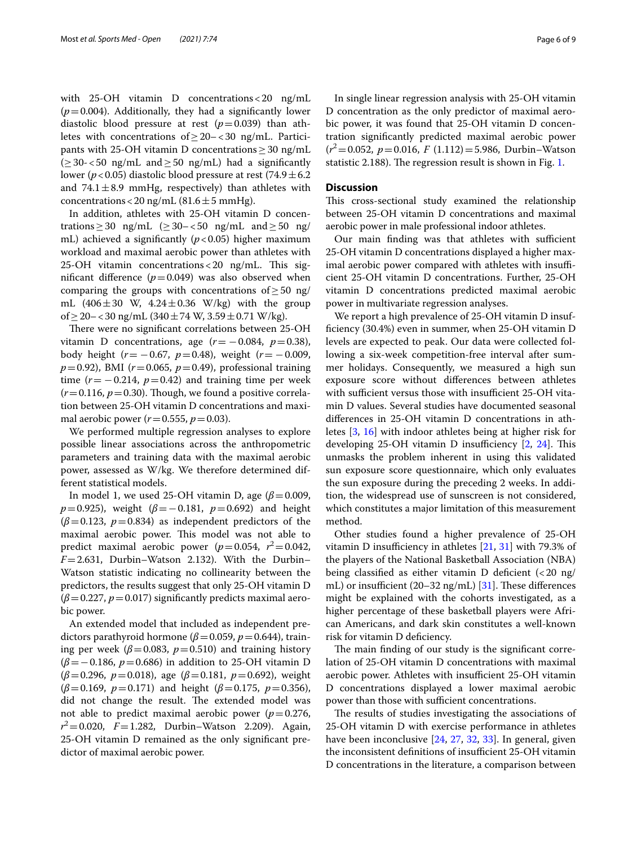with 25-OH vitamin D concentrations<20 ng/mL  $(p=0.004)$ . Additionally, they had a significantly lower diastolic blood pressure at rest  $(p=0.039)$  than athletes with concentrations of  $\geq$  20– $\lt$  30 ng/mL. Participants with 25-OH vitamin D concentrations≥30 ng/mL ( $≥$ 30-<50 ng/mL and $≥$ 50 ng/mL) had a significantly lower ( $p < 0.05$ ) diastolic blood pressure at rest (74.9  $\pm$  6.2 and  $74.1 \pm 8.9$  mmHg, respectively) than athletes with concentrations < 20 ng/mL (81.6  $\pm$  5 mmHg).

In addition, athletes with 25-OH vitamin D concentrations  $\geq$  30 ng/mL ( $\geq$  30– $\lt$  50 ng/mL and  $\geq$  50 ng/ mL) achieved a significantly  $(p<0.05)$  higher maximum workload and maximal aerobic power than athletes with 25-OH vitamin concentrations < 20  $\text{ng/mL}$ . This significant difference  $(p=0.049)$  was also observed when comparing the groups with concentrations of  $\geq$  50 ng/ mL  $(406 \pm 30 \text{ W}, 4.24 \pm 0.36 \text{ W/kg})$  with the group of  $\geq$  20– < 30 ng/mL (340 ± 74 W, 3.59 ± 0.71 W/kg).

There were no significant correlations between 25-OH vitamin D concentrations, age  $(r=-0.084, p=0.38)$ , body height (*r*= −0.67, *p*=0.48), weight (*r*= −0.009,  $p=0.92$ ), BMI ( $r=0.065$ ,  $p=0.49$ ), professional training time  $(r = -0.214, p = 0.42)$  and training time per week  $(r=0.116, p=0.30)$ . Though, we found a positive correlation between 25-OH vitamin D concentrations and maximal aerobic power ( $r = 0.555$ ,  $p = 0.03$ ).

We performed multiple regression analyses to explore possible linear associations across the anthropometric parameters and training data with the maximal aerobic power, assessed as W/kg. We therefore determined different statistical models.

In model 1, we used 25-OH vitamin D, age  $(\beta = 0.009,$ *p*=0.925), weight (*β*=−0.181, *p*=0.692) and height  $(\beta = 0.123, p = 0.834)$  as independent predictors of the maximal aerobic power. This model was not able to predict maximal aerobic power  $(p=0.054, r^2=0.042,$ *F*=2.631, Durbin–Watson 2.132). With the Durbin– Watson statistic indicating no collinearity between the predictors, the results suggest that only 25-OH vitamin D  $(\beta=0.227, p=0.017)$  significantly predicts maximal aerobic power.

An extended model that included as independent predictors parathyroid hormone ( $\beta$  = 0.059,  $p$  = 0.644), training per week ( $\beta$ =0.083,  $p$ =0.510) and training history (*β*=−0.186, *p*=0.686) in addition to 25-OH vitamin D (*β*=0.296, *p*=0.018), age (*β*=0.181, *p*=0.692), weight (*β*=0.169, *p*=0.171) and height (*β*=0.175, *p*=0.356), did not change the result. The extended model was not able to predict maximal aerobic power  $(p=0.276,$ *r* <sup>2</sup>=0.020, *F*=1.282, Durbin–Watson 2.209). Again, 25-OH vitamin D remained as the only signifcant predictor of maximal aerobic power.

In single linear regression analysis with 25-OH vitamin D concentration as the only predictor of maximal aerobic power, it was found that 25-OH vitamin D concentration signifcantly predicted maximal aerobic power (*r* <sup>2</sup>=0.052, *p*=0.016, *F* (1.112)=5.986, Durbin–Watson statistic 2.188). The regression result is shown in Fig. [1](#page-6-0).

## **Discussion**

This cross-sectional study examined the relationship between 25-OH vitamin D concentrations and maximal aerobic power in male professional indoor athletes.

Our main finding was that athletes with sufficient 25-OH vitamin D concentrations displayed a higher maximal aerobic power compared with athletes with insufficient 25-OH vitamin D concentrations. Further, 25-OH vitamin D concentrations predicted maximal aerobic power in multivariate regression analyses.

We report a high prevalence of 25-OH vitamin D insuffciency (30.4%) even in summer, when 25-OH vitamin D levels are expected to peak. Our data were collected following a six-week competition-free interval after summer holidays. Consequently, we measured a high sun exposure score without diferences between athletes with sufficient versus those with insufficient 25-OH vitamin D values. Several studies have documented seasonal diferences in 25-OH vitamin D concentrations in athletes [[3,](#page-8-2) [16\]](#page-8-27) with indoor athletes being at higher risk for developing 25-OH vitamin D insufficiency  $[2, 24]$  $[2, 24]$  $[2, 24]$  $[2, 24]$ . This unmasks the problem inherent in using this validated sun exposure score questionnaire, which only evaluates the sun exposure during the preceding 2 weeks. In addition, the widespread use of sunscreen is not considered, which constitutes a major limitation of this measurement method.

Other studies found a higher prevalence of 25-OH vitamin D insufficiency in athletes  $[21, 31]$  $[21, 31]$  $[21, 31]$  $[21, 31]$  with 79.3% of the players of the National Basketball Association (NBA) being classified as either vitamin D deficient  $\langle$  < 20 ng/ mL) or insufficient  $(20-32 \text{ ng/mL})$  [[31](#page-8-28)]. These differences might be explained with the cohorts investigated, as a higher percentage of these basketball players were African Americans, and dark skin constitutes a well-known risk for vitamin D defciency.

The main finding of our study is the significant correlation of 25-OH vitamin D concentrations with maximal aerobic power. Athletes with insufficient 25-OH vitamin D concentrations displayed a lower maximal aerobic power than those with sufficient concentrations.

The results of studies investigating the associations of 25-OH vitamin D with exercise performance in athletes have been inconclusive [\[24](#page-8-20), [27](#page-8-23), [32](#page-8-29), [33](#page-8-30)]. In general, given the inconsistent definitions of insufficient 25-OH vitamin D concentrations in the literature, a comparison between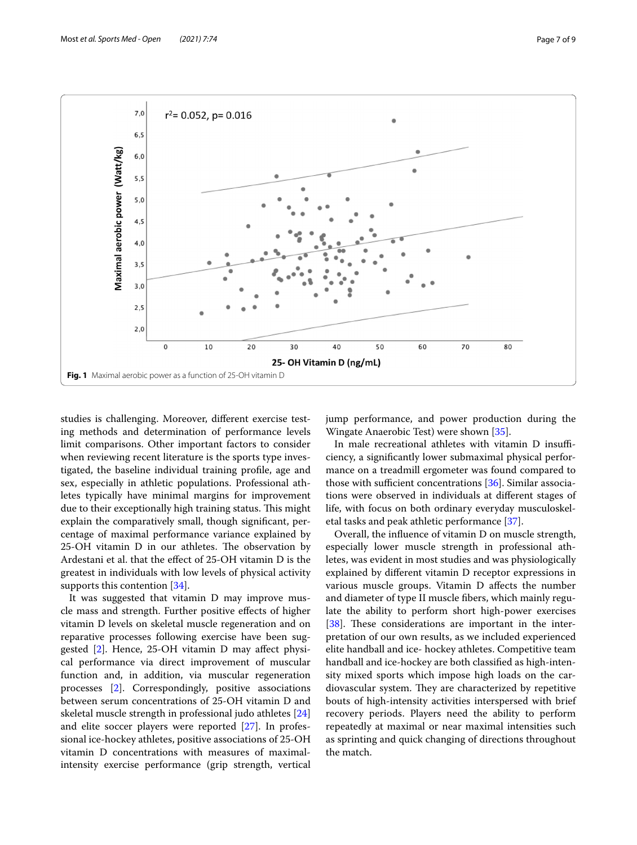

<span id="page-6-0"></span>studies is challenging. Moreover, diferent exercise testing methods and determination of performance levels limit comparisons. Other important factors to consider when reviewing recent literature is the sports type investigated, the baseline individual training profle, age and sex, especially in athletic populations. Professional athletes typically have minimal margins for improvement due to their exceptionally high training status. This might explain the comparatively small, though signifcant, percentage of maximal performance variance explained by 25-OH vitamin D in our athletes. The observation by Ardestani et al. that the efect of 25-OH vitamin D is the greatest in individuals with low levels of physical activity supports this contention [\[34](#page-8-31)].

It was suggested that vitamin D may improve muscle mass and strength. Further positive efects of higher vitamin D levels on skeletal muscle regeneration and on reparative processes following exercise have been suggested [\[2](#page-8-1)]. Hence, 25-OH vitamin D may afect physical performance via direct improvement of muscular function and, in addition, via muscular regeneration processes [\[2](#page-8-1)]. Correspondingly, positive associations between serum concentrations of 25-OH vitamin D and skeletal muscle strength in professional judo athletes [[24](#page-8-20)] and elite soccer players were reported [[27\]](#page-8-23). In professional ice-hockey athletes, positive associations of 25-OH vitamin D concentrations with measures of maximalintensity exercise performance (grip strength, vertical jump performance, and power production during the Wingate Anaerobic Test) were shown [[35\]](#page-8-32).

In male recreational athletes with vitamin D insufficiency, a signifcantly lower submaximal physical performance on a treadmill ergometer was found compared to those with sufficient concentrations  $[36]$  $[36]$ . Similar associations were observed in individuals at diferent stages of life, with focus on both ordinary everyday musculoskeletal tasks and peak athletic performance [\[37](#page-8-34)].

Overall, the infuence of vitamin D on muscle strength, especially lower muscle strength in professional athletes, was evident in most studies and was physiologically explained by diferent vitamin D receptor expressions in various muscle groups. Vitamin D afects the number and diameter of type II muscle fbers, which mainly regulate the ability to perform short high-power exercises [ $38$ ]. These considerations are important in the interpretation of our own results, as we included experienced elite handball and ice- hockey athletes. Competitive team handball and ice-hockey are both classifed as high-intensity mixed sports which impose high loads on the cardiovascular system. They are characterized by repetitive bouts of high-intensity activities interspersed with brief recovery periods. Players need the ability to perform repeatedly at maximal or near maximal intensities such as sprinting and quick changing of directions throughout the match.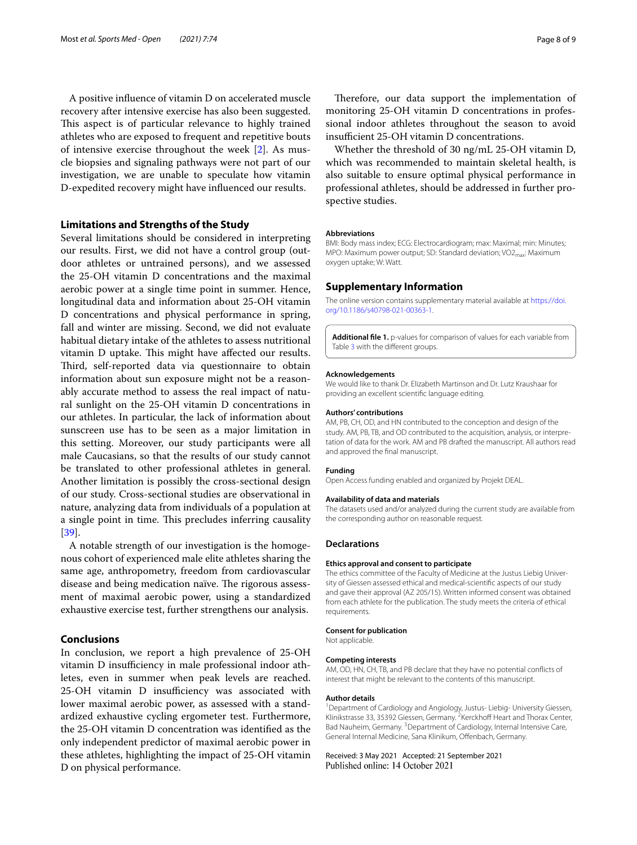A positive infuence of vitamin D on accelerated muscle recovery after intensive exercise has also been suggested. This aspect is of particular relevance to highly trained athletes who are exposed to frequent and repetitive bouts of intensive exercise throughout the week [[2\]](#page-8-1). As muscle biopsies and signaling pathways were not part of our investigation, we are unable to speculate how vitamin D-expedited recovery might have infuenced our results.

#### **Limitations and Strengths of the Study**

Several limitations should be considered in interpreting our results. First, we did not have a control group (outdoor athletes or untrained persons), and we assessed the 25-OH vitamin D concentrations and the maximal aerobic power at a single time point in summer. Hence, longitudinal data and information about 25-OH vitamin D concentrations and physical performance in spring, fall and winter are missing. Second, we did not evaluate habitual dietary intake of the athletes to assess nutritional vitamin D uptake. This might have affected our results. Third, self-reported data via questionnaire to obtain information about sun exposure might not be a reasonably accurate method to assess the real impact of natural sunlight on the 25-OH vitamin D concentrations in our athletes. In particular, the lack of information about sunscreen use has to be seen as a major limitation in this setting. Moreover, our study participants were all male Caucasians, so that the results of our study cannot be translated to other professional athletes in general. Another limitation is possibly the cross-sectional design of our study. Cross-sectional studies are observational in nature, analyzing data from individuals of a population at a single point in time. This precludes inferring causality [[39\]](#page-8-36).

A notable strength of our investigation is the homogenous cohort of experienced male elite athletes sharing the same age, anthropometry, freedom from cardiovascular disease and being medication naïve. The rigorous assessment of maximal aerobic power, using a standardized exhaustive exercise test, further strengthens our analysis.

# **Conclusions**

In conclusion, we report a high prevalence of 25-OH vitamin D insufficiency in male professional indoor athletes, even in summer when peak levels are reached. 25-OH vitamin D insufficiency was associated with lower maximal aerobic power, as assessed with a standardized exhaustive cycling ergometer test. Furthermore, the 25-OH vitamin D concentration was identifed as the only independent predictor of maximal aerobic power in these athletes, highlighting the impact of 25-OH vitamin D on physical performance.

Therefore, our data support the implementation of monitoring 25-OH vitamin D concentrations in professional indoor athletes throughout the season to avoid insufficient 25-OH vitamin D concentrations.

Whether the threshold of 30 ng/mL 25-OH vitamin D, which was recommended to maintain skeletal health, is also suitable to ensure optimal physical performance in professional athletes, should be addressed in further prospective studies.

#### **Abbreviations**

BMI: Body mass index; ECG: Electrocardiogram; max: Maximal; min: Minutes; MPO: Maximum power output; SD: Standard deviation; VO2max: Maximum oxygen uptake; W: Watt.

## **Supplementary Information**

The online version contains supplementary material available at [https://doi.](https://doi.org/10.1186/s40798-021-00363-1) [org/10.1186/s40798-021-00363-1](https://doi.org/10.1186/s40798-021-00363-1).

<span id="page-7-0"></span>**Additional fle 1.** p-values for comparison of values for each variable from Table [3](#page-4-0) with the different groups.

#### **Acknowledgements**

We would like to thank Dr. Elizabeth Martinson and Dr. Lutz Kraushaar for providing an excellent scientifc language editing.

#### **Authors' contributions**

AM, PB, CH, OD, and HN contributed to the conception and design of the study. AM, PB, TB, and OD contributed to the acquisition, analysis, or interpretation of data for the work. AM and PB drafted the manuscript. All authors read and approved the fnal manuscript.

#### **Funding**

Open Access funding enabled and organized by Projekt DEAL.

#### **Availability of data and materials**

The datasets used and/or analyzed during the current study are available from the corresponding author on reasonable request.

#### **Declarations**

# **Ethics approval and consent to participate**

The ethics committee of the Faculty of Medicine at the Justus Liebig University of Giessen assessed ethical and medical-scientifc aspects of our study and gave their approval (AZ 205/15). Written informed consent was obtained from each athlete for the publication. The study meets the criteria of ethical requirements.

#### **Consent for publication**

Not applicable.

#### **Competing interests**

AM, OD, HN, CH, TB, and PB declare that they have no potential conficts of interest that might be relevant to the contents of this manuscript.

#### **Author details**

<sup>1</sup> Department of Cardiology and Angiology, Justus- Liebig- University Giessen, Klinikstrasse 33, 35392 Giessen, Germany. <sup>2</sup>Kerckhoff Heart and Thorax Center, Bad Nauheim, Germany. <sup>3</sup> Department of Cardiology, Internal Intensive Care, General Internal Medicine, Sana Klinikum, Offenbach, Germany.

Received: 3 May 2021 Accepted: 21 September 2021Published online: 14 October 2021